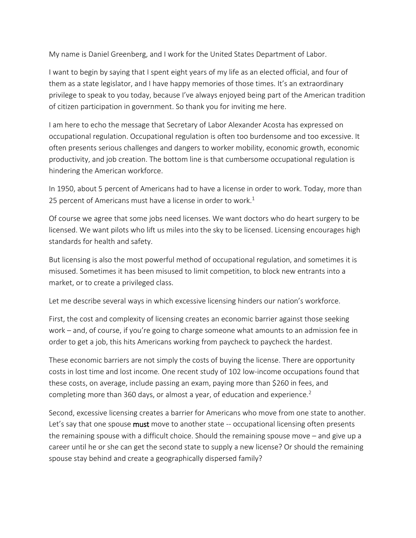My name is Daniel Greenberg, and I work for the United States Department of Labor.

I want to begin by saying that I spent eight years of my life as an elected official, and four of them as a state legislator, and I have happy memories of those times. It's an extraordinary privilege to speak to you today, because I've always enjoyed being part of the American tradition of citizen participation in government. So thank you for inviting me here.

I am here to echo the message that Secretary of Labor Alexander Acosta has expressed on occupational regulation. Occupational regulation is often too burdensome and too excessive. It often presents serious challenges and dangers to worker mobility, economic growth, economic productivity, and job creation. The bottom line is that cumbersome occupational regulation is hindering the American workforce.

In 1950, about 5 percent of Americans had to have a license in order to work. Today, more than 25 percent of Americans must have a license in order to work.<sup>1</sup>

Of course we agree that some jobs need licenses. We want doctors who do heart surgery to be licensed. We want pilots who lift us miles into the sky to be licensed. Licensing encourages high standards for health and safety.

But licensing is also the most powerful method of occupational regulation, and sometimes it is misused. Sometimes it has been misused to limit competition, to block new entrants into a market, or to create a privileged class.

Let me describe several ways in which excessive licensing hinders our nation's workforce.

First, the cost and complexity of licensing creates an economic barrier against those seeking work – and, of course, if you're going to charge someone what amounts to an admission fee in order to get a job, this hits Americans working from paycheck to paycheck the hardest.

These economic barriers are not simply the costs of buying the license. There are opportunity costs in lost time and lost income*.* One recent study of 102 low-income occupations found that these costs, on average, include passing an exam, paying more than \$260 in fees, and completing more than 360 days, or almost a year, of education and experience.<sup>2</sup>

Second, excessive licensing creates a barrier for Americans who move from one state to another. Let's say that one spouse **must** move to another state -- occupational licensing often presents the remaining spouse with a difficult choice. Should the remaining spouse move – and give up a career until he or she can get the second state to supply a new license? Or should the remaining spouse stay behind and create a geographically dispersed family?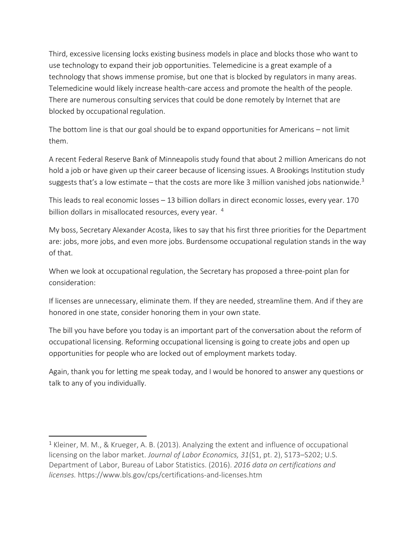Third, excessive licensing locks existing business models in place and blocks those who want to use technology to expand their job opportunities. Telemedicine is a great example of a technology that shows immense promise, but one that is blocked by regulators in many areas. Telemedicine would likely increase health-care access and promote the health of the people. There are numerous consulting services that could be done remotely by Internet that are blocked by occupational regulation.

The bottom line is that our goal should be to expand opportunities for Americans – not limit them.

A recent Federal Reserve Bank of Minneapolis study found that about 2 million Americans do not hold a job or have given up their career because of licensing issues. A Brookings Institution study suggests that's a low estimate – that the costs are more like 3 million vanished jobs nationwide.<sup>3</sup>

This leads to real economic losses – 13 billion dollars in direct economic losses, every year. 170 billion dollars in misallocated resources, every year. <sup>4</sup>

My boss, Secretary Alexander Acosta, likes to say that his first three priorities for the Department are: jobs, more jobs, and even more jobs. Burdensome occupational regulation stands in the way of that.

When we look at occupational regulation, the Secretary has proposed a three-point plan for consideration:

If licenses are unnecessary, eliminate them. If they are needed, streamline them. And if they are honored in one state, consider honoring them in your own state.

The bill you have before you today is an important part of the conversation about the reform of occupational licensing. Reforming occupational licensing is going to create jobs and open up opportunities for people who are locked out of employment markets today.

Again, thank you for letting me speak today, and I would be honored to answer any questions or talk to any of you individually.

 $\overline{a}$ 

<sup>&</sup>lt;sup>1</sup> Kleiner, M. M., & Krueger, A. B. (2013). Analyzing the extent and influence of occupational licensing on the labor market. *Journal of Labor Economics, 31*(S1, pt. 2), S173–S202; U.S. Department of Labor, Bureau of Labor Statistics. (2016). *2016 data on certifications and licenses.* https://www.bls.gov/cps/certifications-and-licenses.htm